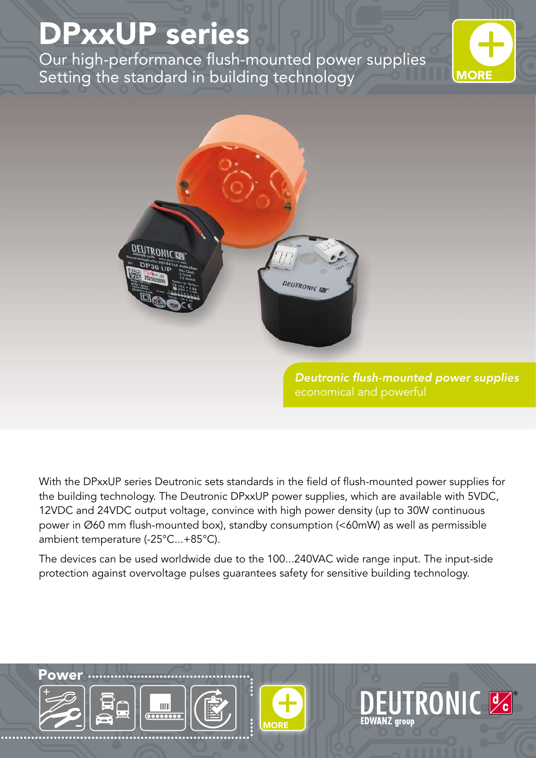## DPxxUP series

Our high-performance flush-mounted power supplies Setting the standard in building technology





*Deutronic flush-mounted power supplies*

**EUTRONIC &** 

**EDWANZ** group

With the DPxxUP series Deutronic sets standards in the field of flush-mounted power supplies for the building technology. The Deutronic DPxxUP power supplies, which are available with 5VDC, 12VDC and 24VDC output voltage, convince with high power density (up to 30W continuous power in Ø60 mm flush-mounted box), standby consumption (<60mW) as well as permissible ambient temperature (-25°C...+85°C).

The devices can be used worldwide due to the 100...240VAC wide range input. The input-side protection against overvoltage pulses guarantees safety for sensitive building technology.